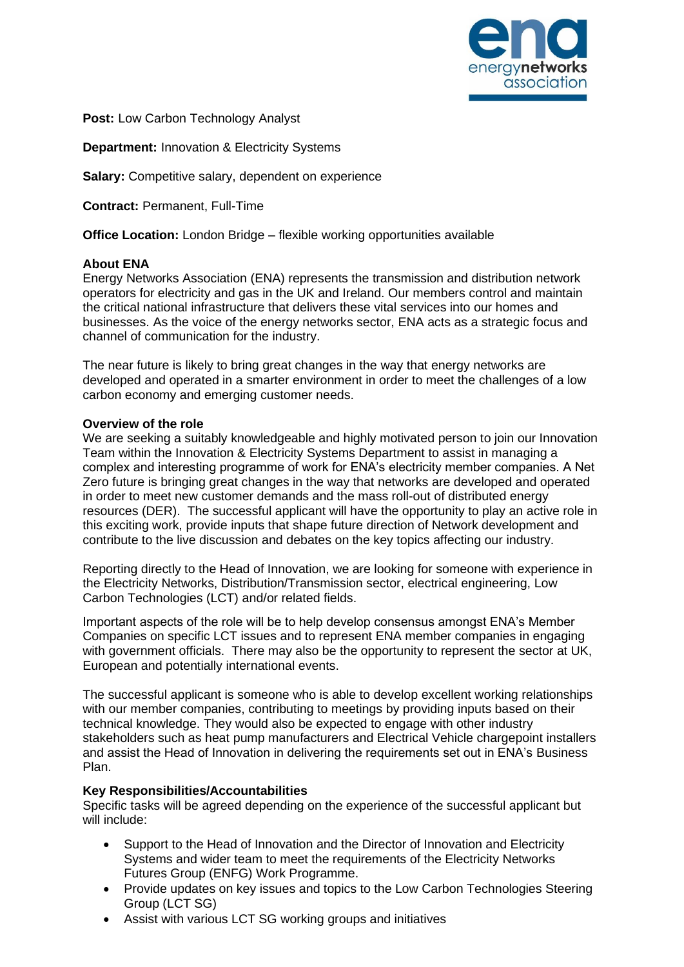

**Post:** Low Carbon Technology Analyst

**Department:** Innovation & Electricity Systems

**Salary:** Competitive salary, dependent on experience

**Contract:** Permanent, Full-Time

**Office Location:** London Bridge – flexible working opportunities available

### **About ENA**

Energy Networks Association (ENA) represents the transmission and distribution network operators for electricity and gas in the UK and Ireland. Our members control and maintain the critical national infrastructure that delivers these vital services into our homes and businesses. As the voice of the energy networks sector, ENA acts as a strategic focus and channel of communication for the industry.

The near future is likely to bring great changes in the way that energy networks are developed and operated in a smarter environment in order to meet the challenges of a low carbon economy and emerging customer needs.

### **Overview of the role**

We are seeking a suitably knowledgeable and highly motivated person to join our Innovation Team within the Innovation & Electricity Systems Department to assist in managing a complex and interesting programme of work for ENA's electricity member companies. A Net Zero future is bringing great changes in the way that networks are developed and operated in order to meet new customer demands and the mass roll-out of distributed energy resources (DER). The successful applicant will have the opportunity to play an active role in this exciting work, provide inputs that shape future direction of Network development and contribute to the live discussion and debates on the key topics affecting our industry.

Reporting directly to the Head of Innovation, we are looking for someone with experience in the Electricity Networks, Distribution/Transmission sector, electrical engineering, Low Carbon Technologies (LCT) and/or related fields.

Important aspects of the role will be to help develop consensus amongst ENA's Member Companies on specific LCT issues and to represent ENA member companies in engaging with government officials. There may also be the opportunity to represent the sector at UK, European and potentially international events.

The successful applicant is someone who is able to develop excellent working relationships with our member companies, contributing to meetings by providing inputs based on their technical knowledge. They would also be expected to engage with other industry stakeholders such as heat pump manufacturers and Electrical Vehicle chargepoint installers and assist the Head of Innovation in delivering the requirements set out in ENA's Business Plan.

# **Key Responsibilities/Accountabilities**

Specific tasks will be agreed depending on the experience of the successful applicant but will include:

- Support to the Head of Innovation and the Director of Innovation and Electricity Systems and wider team to meet the requirements of the Electricity Networks Futures Group (ENFG) Work Programme.
- Provide updates on key issues and topics to the Low Carbon Technologies Steering Group (LCT SG)
- Assist with various LCT SG working groups and initiatives